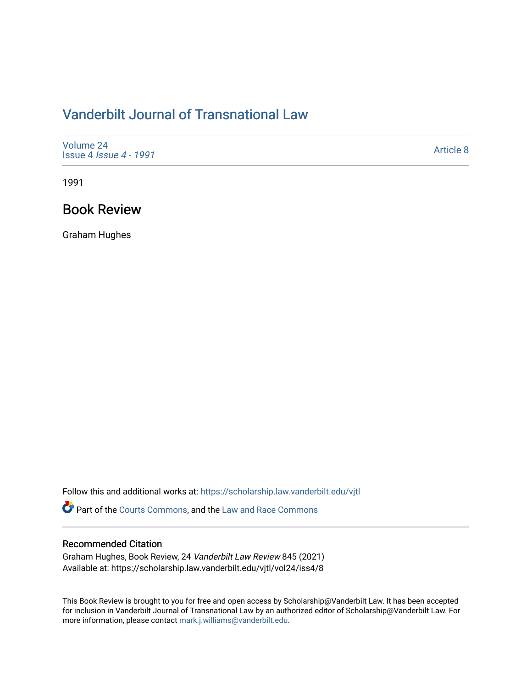# [Vanderbilt Journal of Transnational Law](https://scholarship.law.vanderbilt.edu/vjtl)

| Volume 24<br><b>Issue 4 Issue 4 - 1991</b> | Article 8 |
|--------------------------------------------|-----------|
|--------------------------------------------|-----------|

1991

### Book Review

Graham Hughes

Follow this and additional works at: [https://scholarship.law.vanderbilt.edu/vjtl](https://scholarship.law.vanderbilt.edu/vjtl?utm_source=scholarship.law.vanderbilt.edu%2Fvjtl%2Fvol24%2Fiss4%2F8&utm_medium=PDF&utm_campaign=PDFCoverPages) 

Part of the [Courts Commons,](http://network.bepress.com/hgg/discipline/839?utm_source=scholarship.law.vanderbilt.edu%2Fvjtl%2Fvol24%2Fiss4%2F8&utm_medium=PDF&utm_campaign=PDFCoverPages) and the [Law and Race Commons](http://network.bepress.com/hgg/discipline/1300?utm_source=scholarship.law.vanderbilt.edu%2Fvjtl%2Fvol24%2Fiss4%2F8&utm_medium=PDF&utm_campaign=PDFCoverPages)

### Recommended Citation

Graham Hughes, Book Review, 24 Vanderbilt Law Review 845 (2021) Available at: https://scholarship.law.vanderbilt.edu/vjtl/vol24/iss4/8

This Book Review is brought to you for free and open access by Scholarship@Vanderbilt Law. It has been accepted for inclusion in Vanderbilt Journal of Transnational Law by an authorized editor of Scholarship@Vanderbilt Law. For more information, please contact [mark.j.williams@vanderbilt.edu](mailto:mark.j.williams@vanderbilt.edu).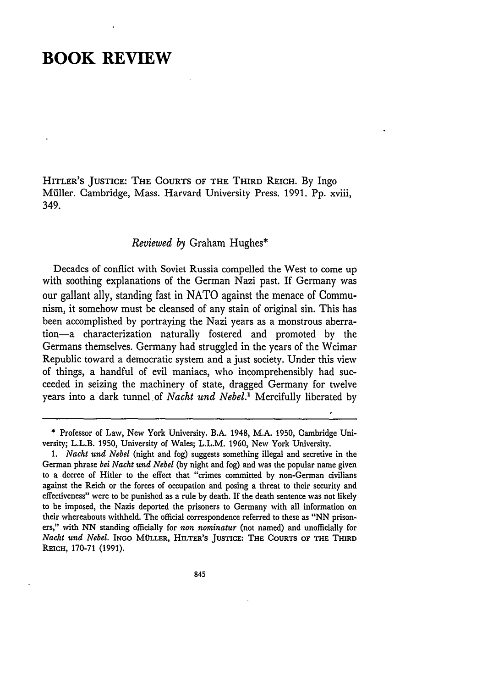## **BOOK REVIEW**

HITLER'S **JUSTICE: THE COURTS** OF **THE** THIRD REICH. **By** Ingo Miller. Cambridge, Mass. Harvard University Press. 1991. Pp. xviii, 349.

#### *Reviewed by* Graham Hughes\*

Decades of conflict with Soviet Russia compelled the West to come up with soothing explanations of the German Nazi past. If Germany was our gallant ally, standing fast in NATO against the menace of Communism, it somehow must be cleansed of any stain of original sin. This has been accomplished by portraying the Nazi years as a monstrous aberration-a characterization naturally fostered and promoted by the Germans themselves. Germany had struggled in the years of the Weimar Republic toward a democratic system and a just society. Under this view of things, a handful of evil maniacs, who incomprehensibly had succeeded in seizing the machinery of state, dragged Germany for twelve years into a dark tunnel of *Nacht und Nebel*.<sup>1</sup> Mercifully liberated by

**<sup>\*</sup>** Professor of Law, New York University. B.A. 1948, M.A. 1950, Cambridge University; L.L.B. 1950, University of Wales; L.L.M. 1960, New York University.

*<sup>1.</sup> Nacht und Nebel* (night and fog) suggests something illegal and secretive in the German phrase *bei Nacht und Nebel* (by night and fog) and was the popular name given to a decree of Hitler to the effect that "crimes committed by non-German civilians against the Reich or the forces of occupation and posing a threat to their security and effectiveness" were to be punished as a rule by death. If the death sentence was not likely to be imposed, the Nazis deported the prisoners to Germany with all information on their whereabouts withheld. The official correspondence referred to these as "NN prisoners," with NN standing officially for *non nominatur* (not named) and unofficially for *Nacht und Nebel.* INGO MOLLER, HILTER'S **JUSTICE:** THE **COURTS** OF THE THIRD REICH, 170-71 (1991).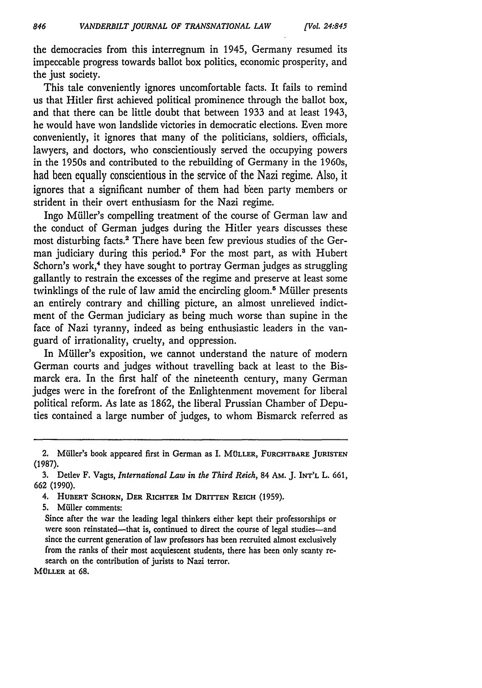the democracies from this interregnum in 1945, Germany resumed its impeccable progress towards ballot box politics, economic prosperity, and the just society.

This tale conveniently ignores uncomfortable facts. It fails to remind us that Hitler first achieved political prominence through the ballot box, and that there can be little doubt that between 1933 and at least 1943, he would have won landslide victories in democratic elections. Even more conveniently, it ignores that many of the politicians, soldiers, officials, lawyers, and doctors, who conscientiously served the occupying powers in the 1950s and contributed to the rebuilding of Germany in the 1960s, had been equally conscientious in the service of the Nazi regime. Also, it ignores that a significant number of them had been party members or strident in their overt enthusiasm for the Nazi regime.

Ingo Müller's compelling treatment of the course of German law and the conduct of German judges during the Hitler years discusses these most disturbing facts.2 There have been few previous studies of the German judiciary during this period.3 For the most part, as with Hubert Schorn's work,<sup>4</sup> they have sought to portray German judges as struggling gallantly to restrain the excesses of the regime and preserve at least some twinklings of the rule of law amid the encircling gloom.<sup>8</sup> Müller presents an entirely contrary and chilling picture, an almost unrelieved indictment of the German judiciary as being much worse than supine in the face of Nazi tyranny, indeed as being enthusiastic leaders in the vanguard of irrationality, cruelty, and oppression.

In Müller's exposition, we cannot understand the nature of modern German courts and judges without travelling back at least to the Bismarck era. In the first half of the nineteenth century, many German judges were in the forefront of the Enlightenment movement for liberal political reform. As late as 1862, the liberal Prussian Chamber of Deputies contained a large number of judges, to whom Bismarck referred as

4. **HUBERT SCHORN, DER RICHTER IM DRITTEN REICH (1959).**

**5.** Mfiller comments:

Since after the war the leading legal thinkers either kept their professorships or were soon reinstated-that is, continued to direct the course of legal studies-and since the current generation of law professors has been recruited almost exclusively from the ranks of their most acquiescent students, there has been only scanty research on the contribution of jurists to Nazi terror.

**MOLLER** at **68.**

<sup>2.</sup> Miller's book appeared first in German as I. **MOLLER, FURCHTBARE JURISTEN (1987).**

**<sup>3.</sup>** Detlev F. Vagts, *International Law in the Third Reich,* 84 **AM. J. INT'L** L. **661, 662 (1990).**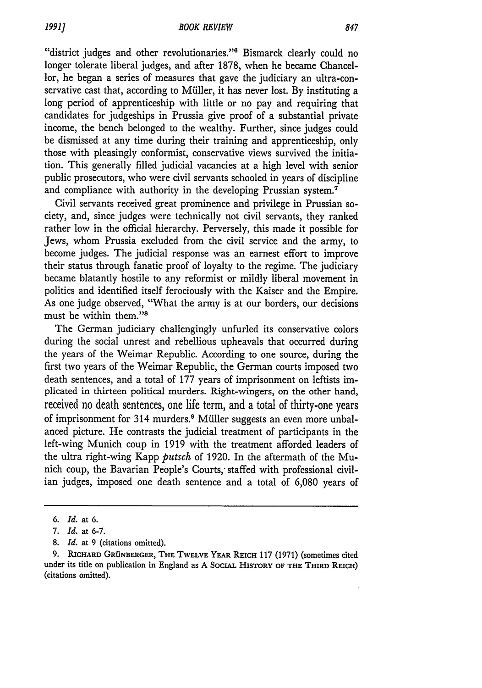"district judges and other revolutionaries."<sup>6</sup> Bismarck clearly could no longer tolerate liberal judges, and after 1878, when he became Chancellor, he began a series of measures that gave the judiciary an ultra-conservative cast that, according to Müller, it has never lost. By instituting a long period of apprenticeship with little or no pay and requiring that candidates for judgeships in Prussia give proof of a substantial private income, the bench belonged to the wealthy. Further, since judges could be dismissed at any time during their training and apprenticeship, only those with pleasingly conformist, conservative views survived the initiation. This generally filled judicial vacancies at a high level with senior public prosecutors, who were civil servants schooled in years of discipline and compliance with authority in the developing Prussian system.<sup>7</sup>

Civil servants received great prominence and privilege in Prussian society, and, since judges were technically not civil servants, they ranked rather low in the official hierarchy. Perversely, this made it possible for Jews, whom Prussia excluded from the civil service and the army, to become judges. The judicial response was an earnest effort to improve their status through fanatic proof of loyalty to the regime. The judiciary became blatantly hostile to any reformist or mildly liberal movement in politics and identified itself ferociously with the Kaiser and the Empire. As one judge observed, "What the army is at our borders, our decisions must be within them."<sup>8</sup>

The German judiciary challengingly unfurled its conservative colors during the social unrest and rebellious upheavals that occurred during the years of the Weimar Republic. According to one source, during the first two years of the Weimar Republic, the German courts imposed two death sentences, and a total of 177 years of imprisonment on leftists implicated in thirteen political murders. Right-wingers, on the other hand, received no death sentences, one life term, and a total of thirty-one years of imprisonment for 314 murders.<sup>9</sup> Müller suggests an even more unbalanced picture. He contrasts the judicial treatment of participants in the left-wing Munich coup in 1919 with the treatment afforded leaders of the ultra right-wing Kapp *putsch* of 1920. In the aftermath of the Munich coup, the Bavarian People's Courts, staffed with professional civilian judges, imposed one death sentence and a total of 6,080 years of

*<sup>6.</sup> Id.* at 6.

<sup>7.</sup> *Id.* at 6-7.

<sup>8.</sup> *Id.* at 9 (citations omitted).

<sup>9.</sup> RICHARD GRÜNBERGER, THE TWELVE YEAR REICH 117 (1971) (sometimes cited under its title on publication in England as A **SOCIAL** HISTORY OF THE THIRD REICH) (citations omitted).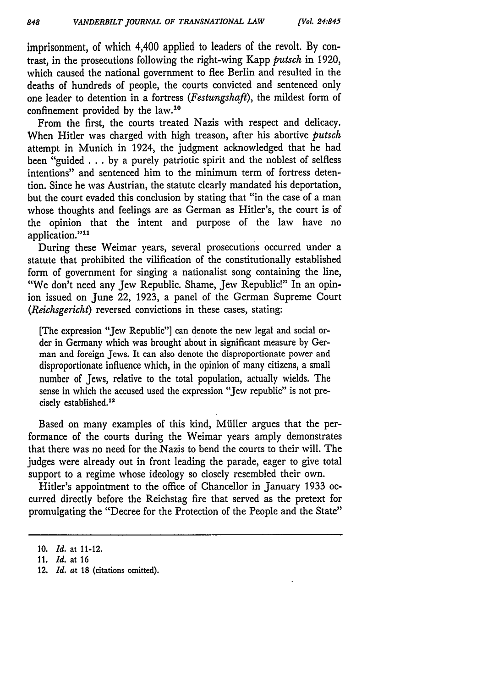imprisonment, of which 4,400 applied to leaders of the revolt. **By** contrast, in the prosecutions following the right-wing Kapp *putsch* in 1920, which caused the national government to flee Berlin and resulted in the deaths of hundreds of people, the courts convicted and sentenced only one leader to detention in a fortress *(Festungshaft),* the mildest form of confinement provided by the law.'<sup>0</sup>

From the first, the courts treated Nazis with respect and delicacy. When Hitler was charged with high treason, after his abortive *putsch* attempt in Munich in 1924, the judgment acknowledged that he had been "guided **. .** .**by** a purely patriotic spirit and the noblest of selfless intentions" and sentenced him to the minimum term of fortress detention. Since he was Austrian, the statute clearly mandated his deportation, but the court evaded this conclusion by stating that "in the case of a man whose thoughts and feelings are as German as Hitler's, the court is of the opinion that the intent and purpose of the law have no application."<sup>11</sup>

During these Weimar years, several prosecutions occurred under a statute that prohibited the vilification of the constitutionally established form of government for singing a nationalist song containing the line, "We don't need any Jew Republic. Shame, Jew Republic!" In an opinion issued on June 22, 1923, a panel of the German Supreme Court *(Reichsgericht)* reversed convictions in these cases, stating:

[The expression "Jew Republic"] can denote the new legal and social order in Germany which was brought about in significant measure by German and foreign Jews. It can also denote the disproportionate power and disproportionate influence which, in the opinion of many citizens, a small number of Jews, relative to the total population, actually wields. The sense in which the accused used the expression "Jew republic" is not precisely established.<sup>12</sup>

Based on many examples of this kind, Müller argues that the performance of the courts during the Weimar years amply demonstrates that there was no need for the Nazis to bend the courts to their will. The judges were already out in front leading the parade, eager to give total support to a regime whose ideology so closely resembled their own.

Hitler's appointment to the office of Chancellor in January 1933 occurred directly before the Reichstag fire that served as the pretext for promulgating the "Decree for the Protection of the People and the State"

<sup>10.</sup> *Id.* at 11-12.

<sup>11.</sup> *Id.* at 16

<sup>12.</sup> *Id. at 18* (citations omitted).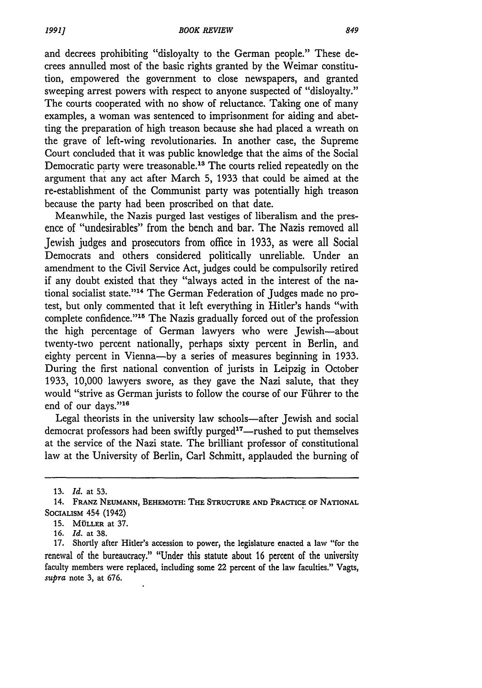and decrees prohibiting "disloyalty to the German people." These decrees annulled most of the basic rights granted by the Weimar constitution, empowered the government to close newspapers, and granted sweeping arrest powers with respect to anyone suspected of "disloyalty." The courts cooperated with no show of reluctance. Taking one of many examples, a woman was sentenced to imprisonment for aiding and abetting the preparation of high treason because she had placed a wreath on the grave of left-wing revolutionaries. In another case, the Supreme Court concluded that it was public knowledge that the aims of the Social Democratic party were treasonable.13 The courts relied repeatedly on the argument that any act after March 5, 1933 that could be aimed at the re-establishment of the Communist party was potentially high treason because the party had been proscribed on that date.

Meanwhile, the Nazis purged last vestiges of liberalism and the presence of "undesirables" from the bench and bar. The Nazis removed all Jewish judges and prosecutors from office in 1933, as were all Social Democrats and others considered politically unreliable. Under an amendment to the Civil Service Act, judges could be compulsorily retired if any doubt existed that they "always acted in the interest of the national socialist state."<sup>14</sup> The German Federation of Judges made no protest, but only commented that it left everything in Hitler's hands "with complete confidence."<sup>15</sup> The Nazis gradually forced out of the profession the high percentage of German lawyers who were Jewish-about twenty-two percent nationally, perhaps sixty percent in Berlin, and eighty percent in Vienna-by a series of measures beginning in 1933. During the first national convention of jurists in Leipzig in October 1933, 10,000 lawyers swore, as they gave the Nazi salute, that they would "strive as German jurists to follow the course of our Fiihrer to the end of our days."16

Legal theorists in the university law schools—after Jewish and social democrat professors had been swiftly purged<sup>17</sup>—rushed to put themselves at the service of the Nazi state. The brilliant professor of constitutional law at the University of Berlin, Carl Schmitt, applauded the burning of

*19911*

**<sup>13.</sup>** *Id.* at 53.

<sup>14.</sup> **FRANZ NEUMANN, BEHEMOTH: THE STRUCTURE AND PRACTICE OF NATIONAL** SOCIALISM 454 (1942)

**<sup>15.</sup> MOLLER at 37.**

**<sup>16.</sup>** *Id.* at **38.**

**<sup>17.</sup>** Shortly after Hitler's accession to power, the legislature enacted a law "for the renewal of the bureaucracy." "Under this statute about 16 percent of the university faculty members were replaced, including some 22 percent of the law faculties." Vagts, *supra* note **3,** at **676.**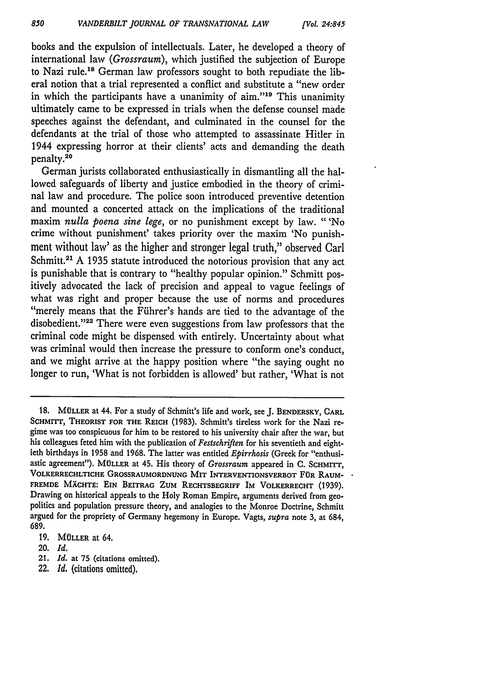books and the expulsion of intellectuals. Later, he developed a theory of international law *(Grossraum),* which justified the subjection of Europe to Nazi rule.<sup>18</sup> German law professors sought to both repudiate the liberal notion that a trial represented a conflict and substitute a "new order in which the participants have a unanimity of  $\dim$ ."<sup>19</sup> This unanimity ultimately came to be expressed in trials when the defense counsel made speeches against the defendant, and culminated in the counsel for the defendants at the trial of those who attempted to assassinate Hitler in 1944 expressing horror at their clients' acts and demanding the death penalty.<sup>20</sup>

German jurists collaborated enthusiastically in dismantling all the hallowed safeguards of liberty and justice embodied in the theory of criminal law and procedure. The police soon introduced preventive detention and mounted a concerted attack on the implications of the traditional maxim *nulla poena sine lege,* or no punishment except by law. "'No crime without punishment' takes priority over the maxim 'No punishment without law' as the higher and stronger legal truth," observed Carl Schmitt.<sup>21</sup> A 1935 statute introduced the notorious provision that any act is punishable that is contrary to "healthy popular opinion." Schmitt positively advocated the lack of precision and appeal to vague feelings of what was right and proper because the use of norms and procedures "merely means that the Fiihrer's hands are tied to the advantage of the disobedient."<sup>22</sup> There were even suggestions from law professors that the criminal code might be dispensed with entirely. Uncertainty about what was criminal would then increase the pressure to conform one's conduct, and we might arrive at the happy position where "the saying ought no longer to run, 'What is not forbidden is allowed' but rather, 'What is not

**18. MULLER at** 44. For a study of Schmitt's life and work, see **J. BENDERSKY, CARL** SCHMITT, THEORIST FOR THE REICH (1983). Schmitt's tireless work for the Nazi regime was too conspicuous for him to be restored to his university chair after the war, but his colleagues feted him with the publication of *Festschriften* for his seventieth and eightieth birthdays in **1958** and **1968.** The latter was entitled *Epirrhosis* (Greek for "enthusiastic agreement"). MÜLLER at 45. His theory of *Grossraum* appeared in C. SCHMITT, VOLKERRECHLTICHE GROSSRAUMORDNUNG MIT INTERVENTIONSVERBOT **FOR** RAUM-FREMDE MÄCHTE: EIN BEITRAG ZUM RECHTSBEGRIFF IM VOLKERRECHT (1939). Drawing on historical appeals to the Holy Roman Empire, arguments derived from geopolitics and population pressure theory, and analogies to the Monroe Doctrine, Schmitt argued for the propriety of Germany hegemony in Europe. Vagts, *supra* note 3, at 684, 689.

- 21. *Id.* at **75** (citations omitted).
- 22. **Id,** (citations omitted).

**<sup>19.</sup>** MOLLER at 64.

<sup>20.</sup> *Id.*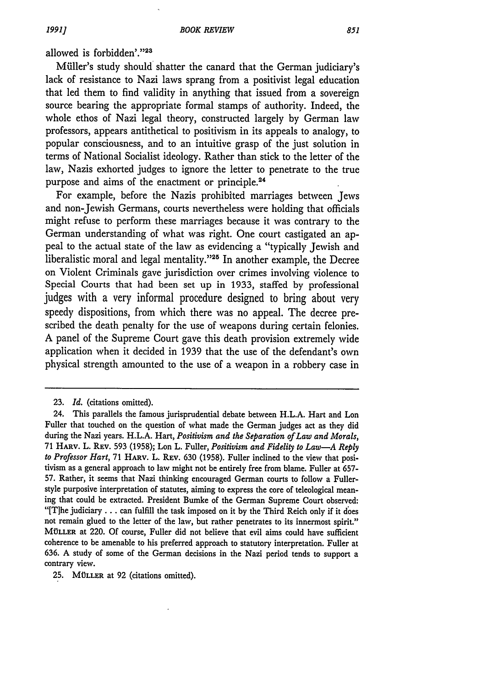allowed is forbidden'."23

Müller's study should shatter the canard that the German judiciary's lack of resistance to Nazi laws sprang from a positivist legal education that led them to find validity in anything that issued from a sovereign source bearing the appropriate formal stamps of authority. Indeed, the whole ethos of Nazi legal theory, constructed largely by German law professors, appears antithetical to positivism in its appeals to analogy, to popular consciousness, and to an intuitive grasp of the just solution in terms of National Socialist ideology. Rather than stick to the letter of the law, Nazis exhorted judges to ignore the letter to penetrate to the true purpose and aims of the enactment or principle.24

For example, before the Nazis prohibited marriages between Jews and non-Jewish Germans, courts nevertheless were holding that officials might refuse to perform these marriages because it was contrary to the German understanding of what was right. One court castigated an appeal to the actual state of the law as evidencing a "typically Jewish and liberalistic moral and legal mentality."<sup>25</sup> In another example, the Decree on Violent Criminals gave jurisdiction over crimes involving violence to Special Courts that had been set up in 1933, staffed by professional judges with a very informal procedure designed to bring about very speedy dispositions, from which there was no appeal. The decree prescribed the death penalty for the use of weapons during certain felonies. A panel of the Supreme Court gave this death provision extremely wide application when it decided in 1939 that the use of the defendant's own physical strength amounted to the use of a weapon in a robbery case in

25. MÜLLER at 92 (citations omitted).

<sup>23.</sup> *Id.* (citations omitted).

<sup>24.</sup> This parallels the famous jurisprudential debate between H.L.A. Hart and Lon Fuller that touched on the question of what made the German judges act as they did during the Nazi years. H.L.A. Hart, *Positivism and the Separation of Law and Morals,* 71 HARV. L. **REv.** 593 (1958); Lon L. Fuller, *Positivism and Fidelity to Law-A Reply to Professor Hart,* 71 HARV. L. REV. 630 (1958). Fuller inclined to the view that positivism as a general approach to law might not be entirely free from blame. Fuller at 657- 57. Rather, it seems that Nazi thinking encouraged German courts to follow a Fullerstyle purposive interpretation of statutes, aiming to express the core of teleological meaning that could be extracted. President Bumke of the German Supreme Court observed: "[Tlhe judiciary **...** can fulfill the task imposed on it by the Third Reich only if it does not remain glued to the letter of the law, but rather penetrates to its innermost spirit." **MOLLER** at 220. Of course, Fuller did not believe that evil aims could have sufficient coherence to be amenable to his preferred approach to statutory interpretation. Fuller at **636.** A study of some of the German decisions in the Nazi period tends to support a contrary view.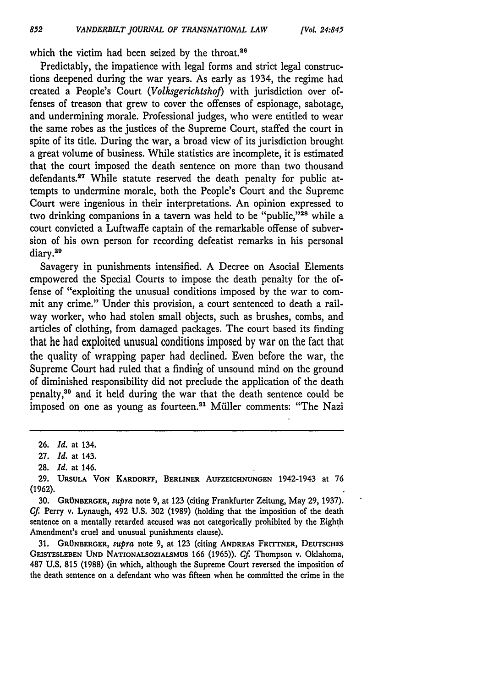which the victim had been seized by the throat.<sup>26</sup>

Predictably, the impatience with legal forms and strict legal constructions deepened during the war years. As early as 1934, the regime had created a People's Court *(Volksgerichtshof)* with jurisdiction over offenses of treason that grew to cover the offenses of espionage, sabotage, and undermining morale. Professional judges, who were entitled to wear the same robes as the justices of the Supreme Court, staffed the court in spite of its title. During the war, a broad view of its jurisdiction brought a great volume of business. While statistics are incomplete, it is estimated that the court imposed the death sentence on more than two thousand defendants.<sup>27</sup> While statute reserved the death penalty for public attempts to undermine morale, both the People's Court and the Supreme Court were ingenious in their interpretations. An opinion expressed to two drinking companions in a tavern was held to be "public,"28 while a court convicted a Luftwaffe captain of the remarkable offense of subversion of his own person for recording defeatist remarks in his personal diary.29

Savagery in punishments intensified. A Decree on Asocial Elements empowered the Special Courts to impose the death penalty for the offense of "exploiting the unusual conditions imposed by the war to commit any crime." Under this provision, a court sentenced to death a railway worker, who had stolen small objects, such as brushes, combs, and articles of clothing, from damaged packages. The court based its finding that he had exploited unusual conditions imposed by war on the fact that the quality of wrapping paper had declined. Even before the war, the Supreme Court had ruled that a finding of unsound mind on the ground of diminished responsibility did not preclude the application of the death penalty, 30 and it held during the war that the death sentence could be imposed on one as young as fourteen.<sup>31</sup> Müller comments: "The Nazi

31. GRÜNBERGER, *supra* note 9, at 123 (citing ANDREAS FRITTNER, DEUTSCHES **GEISTESLEBEN UND NATIONALSOZIALSMUS** 166 (1965)). *Cf* Thompson v. Oklahoma, 487 **U.S,** 815 (1988) (in which, although the Supreme Court reversed the imposition of the death sentence on a defendant who was fifteen when he committed the crime in the

<sup>26.</sup> *Id.* at 134.

<sup>27.</sup> *Id.* at 143.

<sup>28.</sup> *Id.* at 146.

**<sup>29.</sup> URSULA VON KARDORFF, BERLINER AUFZEICHNUNGEN** 1942-1943 at 76 **(1962).**

<sup>30.</sup> GRÜNBERGER, *supra* note 9, at 123 (citing Frankfurter Zeitung, May 29, 1937). *Cf* **Perry** v. Lynaugh, 492 **U.S. 302** (1989) (holding that the imposition of the death sentence on a mentally retarded accused was not categorically prohibited by the Eighth Amendment's cruel and unusual punishments clause).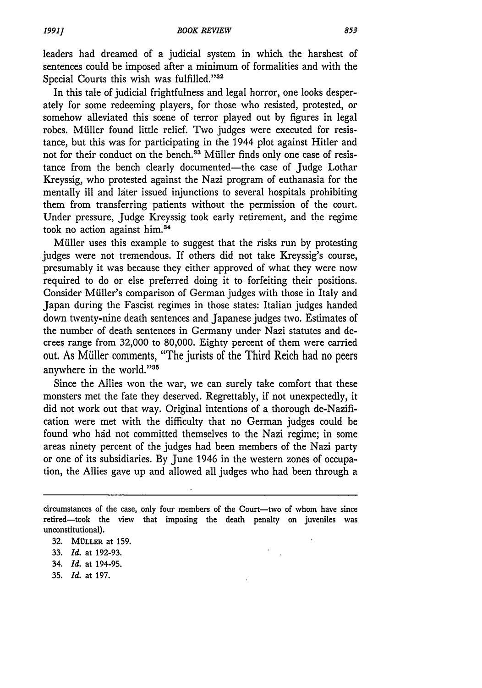leaders had dreamed of a judicial system in which the harshest of sentences could be imposed after a minimum of formalities and with the Special Courts this wish was fulfilled."32

In this tale of judicial frightfulness and legal horror, one looks desperately for some redeeming players, for those who resisted, protested, or somehow alleviated this scene of terror played out by figures in legal robes. Muller found little relief. Two judges were executed for resistance, but this was for participating in the 1944 plot against Hitler and not for their conduct on the bench.<sup>33</sup> Müller finds only one case of resistance from the bench clearly documented-the case of Judge Lothar Kreyssig, who protested against the Nazi program of euthanasia for the mentally ill and later issued injunctions to several hospitals prohibiting them from transferring patients without the permission of the court. Under pressure, Judge Kreyssig took early retirement, and the regime took no action against him.<sup>34</sup>

Miller uses this example to suggest that the risks run by protesting judges were not tremendous. If others did not take Kreyssig's course, presumably it was because they either approved of what they were now required to do or else preferred doing it to forfeiting their positions. Consider Muiller's comparison of German judges with those in Italy and Japan during the Fascist regimes in those states: Italian judges handed down twenty-nine death sentences and Japanese judges two. Estimates of the number of death sentences in Germany under Nazi statutes and decrees range from 32,000 to 80,000. Eighty percent of them were carried out. As Müller comments, "The jurists of the Third Reich had no peers anywhere in the world."35

Since the Allies won the war, we can surely take comfort that these monsters met the fate they deserved. Regrettably, if not unexpectedly, it did not work out that way. Original intentions of a thorough de-Nazification were met with the difficulty that no German judges could be found who had not committed themselves to the Nazi regime; in some areas ninety percent of the judges had been members of the Nazi party or one of its subsidiaries. By June 1946 in the western zones of occupation, the Allies gave up and allowed all judges who had been through a

- 34. *Id.* at 194-95.
- 35. *Id.* at 197.

circumstances of the case, only four members of the Court-two of whom have since retired-took the view that imposing the death penalty on juveniles was unconstitutional).

**<sup>32.</sup> MOLLER** at **159.**

<sup>33.</sup> *Id.* at 192-93.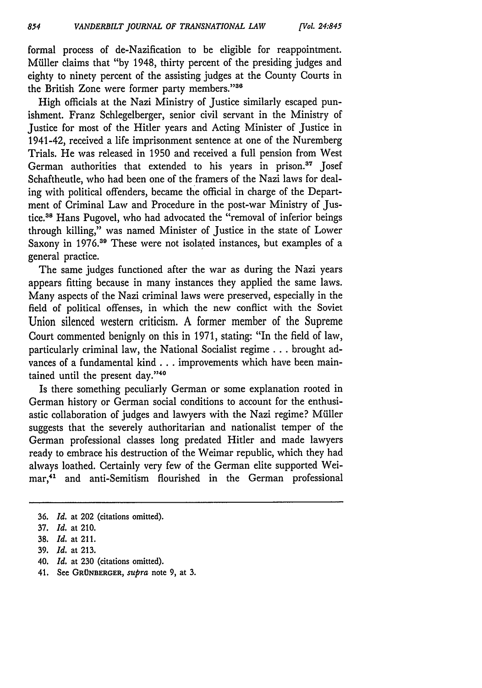*[Vol 24:845*

formal process of de-Nazification to be eligible for reappointment. Müller claims that "by 1948, thirty percent of the presiding judges and eighty to ninety percent of the assisting judges at the County Courts in the British Zone were former party members."36

High officials at the Nazi Ministry of Justice similarly escaped punishment. Franz Schlegelberger, senior civil servant in the Ministry of Justice for most of the Hitler years and Acting Minister of Justice in 1941-42, received a life imprisonment sentence at one of the Nuremberg Trials. He was released in 1950 and received a full pension from West German authorities that extended to his years in prison.<sup>37</sup> Josef Schaftheutle, who had been one of the framers of the Nazi laws for dealing with political offenders, became the official in charge of the Department of Criminal Law and Procedure in the post-war Ministry of Justice.38 Hans Pugovel, who had advocated the "removal of inferior beings through killing," was named Minister of Justice in the state of Lower Saxony in 1976.<sup>39</sup> These were not isolated instances, but examples of a general practice.

The same judges functioned after the war as during the Nazi years appears fitting because in many instances they applied the same laws. Many aspects of the Nazi criminal laws were preserved, especially in the field of political offenses, in which the new conflict with the Soviet Union silenced western criticism. A former member of the Supreme Court commented benignly on this in 1971, stating: "In the field of law, particularly criminal law, the National Socialist regime **...** brought advances of a fundamental kind **...** improvements which have been maintained until the present day."<sup>40</sup>

Is there something peculiarly German or some explanation rooted in German history or German social conditions to account for the enthusiastic collaboration of judges and lawyers with the Nazi regime? Müller suggests that the severely authoritarian and nationalist temper of the German professional classes long predated Hitler and made lawyers ready to embrace his destruction of the Weimar republic, which they had always loathed. Certainly very few of the German elite supported Weimar,4' and anti-Semitism flourished in the German professional

41. See **GR0NBERGER,** *supra* note **9,** at **3.**

**<sup>36.</sup>** *Id.* at 202 (citations omitted).

<sup>37.</sup> *Id.* at 210.

**<sup>38.</sup>** *Id.* at 211.

**<sup>39.</sup>** *Id.* at 213.

<sup>40.</sup> *Id.* at 230 (citations omitted).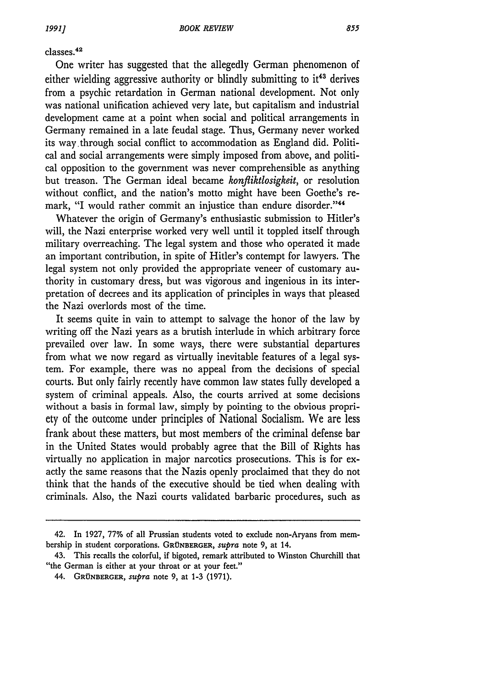### classes.<sup>42</sup>

One writer has suggested that the allegedly German phenomenon of either wielding aggressive authority or blindly submitting to  $it^{43}$  derives from a psychic retardation in German national development. Not only was national unification achieved very late, but capitalism and industrial development came at a point when social and political arrangements in Germany remained in a late feudal stage. Thus, Germany never worked its way through social conflict to accommodation as England did. Political and social arrangements were simply imposed from above, and political opposition to the government was never comprehensible as anything but treason. The German ideal became *konfliktlosigkeit,* or resolution without conflict, and the nation's motto might have been Goethe's remark, "I would rather commit an injustice than endure disorder."<sup>44</sup>

Whatever the origin of Germany's enthusiastic submission to Hitler's will, the Nazi enterprise worked very well until it toppled itself through military overreaching. The legal system and those who operated it made an important contribution, in spite of Hitler's contempt for lawyers. The legal system not only provided the appropriate veneer of customary authority in customary dress, but was vigorous and ingenious in its interpretation of decrees and its application of principles in ways that pleased the Nazi overlords most of the time.

It seems quite in vain to attempt to salvage the honor of the law **by** writing off the Nazi years as a brutish interlude in which arbitrary force prevailed over law. In some ways, there were substantial departures from what we now regard as virtually inevitable features of a legal system. For example, there was no appeal from the decisions of special courts. But only fairly recently have common law states fully developed a system of criminal appeals. Also, the courts arrived at some decisions without a basis in formal law, simply **by** pointing to the obvious propriety of the outcome under principles of National Socialism. We are less frank about these matters, but most members of the criminal defense bar in the United States would probably agree that the Bill of Rights has virtually no application in major narcotics prosecutions. This is for exactly the same reasons that the Nazis openly proclaimed that they do not think that the hands of the executive should be tied when dealing with criminals. Also, the Nazi courts validated barbaric procedures, such as

<sup>42.</sup> In 1927, **77%** of all Prussian students voted to exclude non-Aryans from membership in student corporations. **GRUNBERGER,** *supra* note **9,** at 14.

<sup>43.</sup> This recalls the colorful, if bigoted, remark attributed to Winston Churchill that "the German is either at your throat or at your feet."

<sup>44.</sup> GRUNBERGER, *supra* note 9, at **1-3 (1971).**